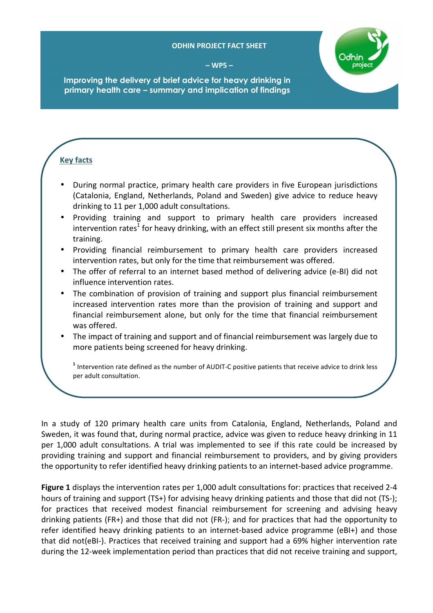## **ODHIN PROJECT FACT SHEET**

**– WP5 –** 



**Improving the delivery of brief advice for heavy drinking in primary health care – summary and implication of findings** 

## **Key facts**

- During normal practice, primary health care providers in five European jurisdictions (Catalonia, England, Netherlands, Poland and Sweden) give advice to reduce heavy drinking to 11 per 1,000 adult consultations.
- Providing training and support to primary health care providers increased intervention rates<sup>1</sup> for heavy drinking, with an effect still present six months after the training.
- Providing financial reimbursement to primary health care providers increased intervention rates, but only for the time that reimbursement was offered.
- The offer of referral to an internet based method of delivering advice (e-BI) did not influence intervention rates.
- The combination of provision of training and support plus financial reimbursement increased intervention rates more than the provision of training and support and financial reimbursement alone, but only for the time that financial reimbursement was offered.
- The impact of training and support and of financial reimbursement was largely due to more patients being screened for heavy drinking.

<sup>1</sup> Intervention rate defined as the number of AUDIT-C positive patients that receive advice to drink less per adult consultation.

In a study of 120 primary health care units from Catalonia, England, Netherlands, Poland and Sweden, it was found that, during normal practice, advice was given to reduce heavy drinking in 11 per 1,000 adult consultations. A trial was implemented to see if this rate could be increased by providing training and support and financial reimbursement to providers, and by giving providers the opportunity to refer identified heavy drinking patients to an internet-based advice programme.

**Figure 1** displays the intervention rates per 1,000 adult consultations for: practices that received 2-4 hours of training and support (TS+) for advising heavy drinking patients and those that did not (TS-); for practices that received modest financial reimbursement for screening and advising heavy drinking patients (FR+) and those that did not (FR-); and for practices that had the opportunity to refer identified heavy drinking patients to an internet-based advice programme (eBI+) and those that did not(eBI-). Practices that received training and support had a 69% higher intervention rate during the 12-week implementation period than practices that did not receive training and support,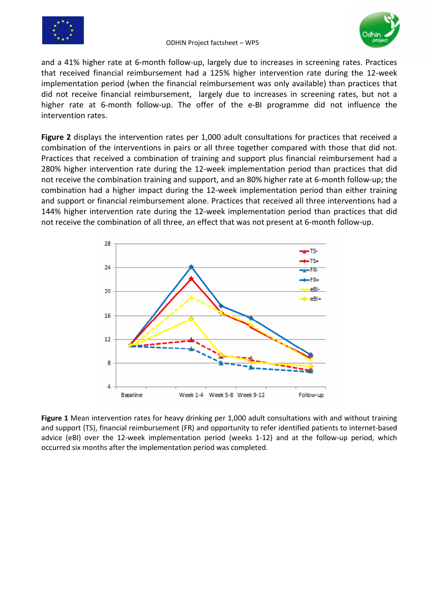



and a 41% higher rate at 6-month follow-up, largely due to increases in screening rates. Practices that received financial reimbursement had a 125% higher intervention rate during the 12-week implementation period (when the financial reimbursement was only available) than practices that did not receive financial reimbursement, largely due to increases in screening rates, but not a higher rate at 6-month follow-up. The offer of the e-BI programme did not influence the intervention rates.

**Figure 2** displays the intervention rates per 1,000 adult consultations for practices that received a combination of the interventions in pairs or all three together compared with those that did not. Practices that received a combination of training and support plus financial reimbursement had a 280% higher intervention rate during the 12-week implementation period than practices that did not receive the combination training and support, and an 80% higher rate at 6-month follow-up; the combination had a higher impact during the 12-week implementation period than either training and support or financial reimbursement alone. Practices that received all three interventions had a 144% higher intervention rate during the 12-week implementation period than practices that did not receive the combination of all three, an effect that was not present at 6-month follow-up.



**Figure 1** Mean intervention rates for heavy drinking per 1,000 adult consultations with and without training and support (TS), financial reimbursement (FR) and opportunity to refer identified patients to internet-based advice (eBI) over the 12-week implementation period (weeks 1-12) and at the follow-up period, which occurred six months after the implementation period was completed.